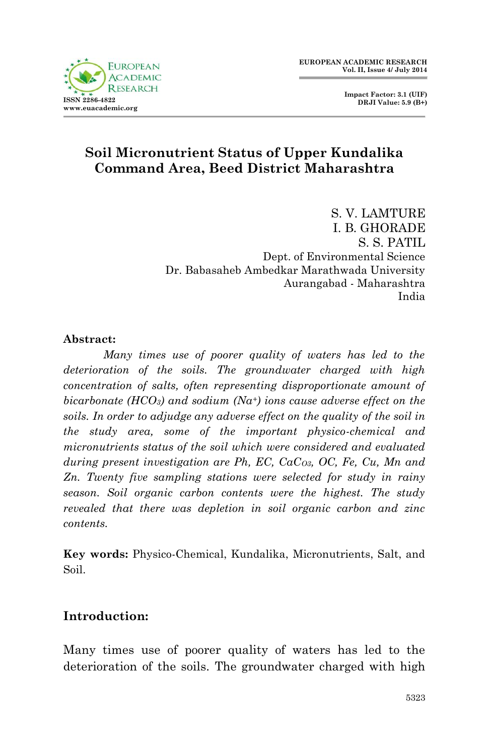**Impact Factor: 3.1 (UIF) DRJI Value: 5.9 (B+)**

# **Soil Micronutrient Status of Upper Kundalika Command Area, Beed District Maharashtra**

S. V. LAMTURE I. B. GHORADE S. S. PATIL Dept. of Environmental Science Dr. Babasaheb Ambedkar Marathwada University Aurangabad - Maharashtra India

#### **Abstract:**

*Many times use of poorer quality of waters has led to the deterioration of the soils. The groundwater charged with high concentration of salts, often representing disproportionate amount of bicarbonate (HCO3) and sodium (Na+) ions cause adverse effect on the soils. In order to adjudge any adverse effect on the quality of the soil in the study area, some of the important physico-chemical and micronutrients status of the soil which were considered and evaluated during present investigation are Ph, EC, CaCO3, OC, Fe, Cu, Mn and Zn. Twenty five sampling stations were selected for study in rainy season. Soil organic carbon contents were the highest. The study revealed that there was depletion in soil organic carbon and zinc contents.*

**Key words:** Physico-Chemical, Kundalika, Micronutrients, Salt, and Soil.

### **Introduction:**

Many times use of poorer quality of waters has led to the deterioration of the soils. The groundwater charged with high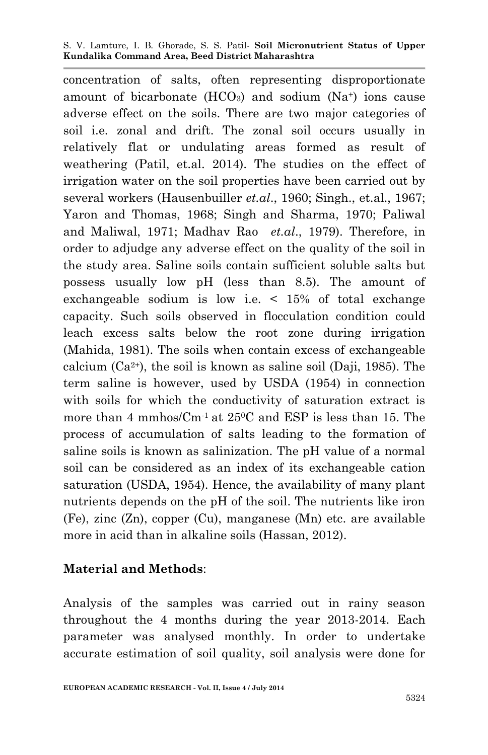#### S. V. Lamture, I. B. Ghorade, S. S. Patil*-* **Soil Micronutrient Status of Upper Kundalika Command Area, Beed District Maharashtra**

concentration of salts, often representing disproportionate amount of bicarbonate  $(HCO<sub>3</sub>)$  and sodium  $(Na<sup>+</sup>)$  ions cause adverse effect on the soils. There are two major categories of soil i.e. zonal and drift. The zonal soil occurs usually in relatively flat or undulating areas formed as result of weathering (Patil, et.al. 2014). The studies on the effect of irrigation water on the soil properties have been carried out by several workers (Hausenbuiller *et.al*., 1960; Singh., et.al., 1967; Yaron and Thomas, 1968; Singh and Sharma, 1970; Paliwal and Maliwal, 1971; Madhav Rao *et.al*., 1979). Therefore, in order to adjudge any adverse effect on the quality of the soil in the study area. Saline soils contain sufficient soluble salts but possess usually low pH (less than 8.5). The amount of exchangeable sodium is low i.e. < 15% of total exchange capacity. Such soils observed in flocculation condition could leach excess salts below the root zone during irrigation (Mahida, 1981). The soils when contain excess of exchangeable calcium  $(Ca^{2+})$ , the soil is known as saline soil (Daji, 1985). The term saline is however, used by USDA (1954) in connection with soils for which the conductivity of saturation extract is more than 4 mmhos/ $\text{Cm}$ <sup>1</sup> at 25<sup>o</sup>C and ESP is less than 15. The process of accumulation of salts leading to the formation of saline soils is known as salinization. The pH value of a normal soil can be considered as an index of its exchangeable cation saturation (USDA, 1954). Hence, the availability of many plant nutrients depends on the pH of the soil. The nutrients like iron (Fe), zinc (Zn), copper (Cu), manganese (Mn) etc. are available more in acid than in alkaline soils (Hassan, 2012).

### **Material and Methods**:

Analysis of the samples was carried out in rainy season throughout the 4 months during the year 2013-2014. Each parameter was analysed monthly. In order to undertake accurate estimation of soil quality, soil analysis were done for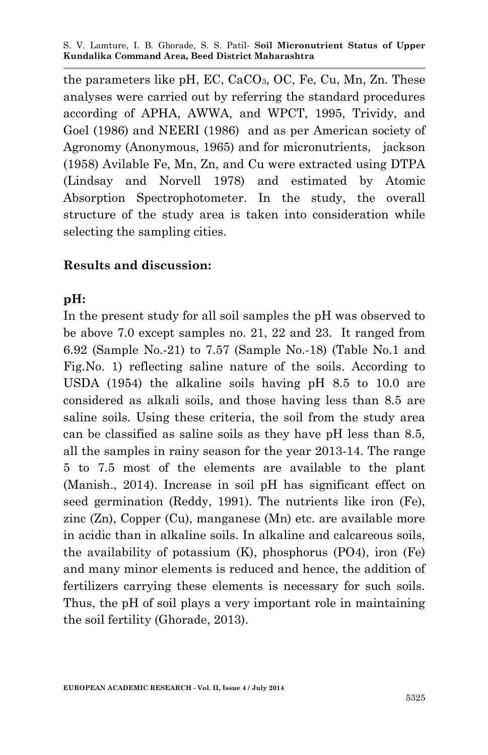S. V. Lamture, I. B. Ghorade, S. S. Patil*-* **Soil Micronutrient Status of Upper Kundalika Command Area, Beed District Maharashtra**

the parameters like pH, EC,  $CaCO<sub>3</sub>$ , OC, Fe, Cu, Mn, Zn. These analyses were carried out by referring the standard procedures according of APHA, AWWA, and WPCT, 1995, Trividy, and Goel (1986) and NEERI (1986) and as per American society of Agronomy (Anonymous, 1965) and for micronutrients, jackson (1958) Avilable Fe, Mn, Zn, and Cu were extracted using DTPA (Lindsay and Norvell 1978) and estimated by Atomic Absorption Spectrophotometer. In the study, the overall structure of the study area is taken into consideration while selecting the sampling cities.

#### **Results and discussion:**

#### **pH:**

In the present study for all soil samples the pH was observed to be above 7.0 except samples no. 21, 22 and 23. It ranged from 6.92 (Sample No.-21) to 7.57 (Sample No.-18) (Table No.1 and Fig.No. 1) reflecting saline nature of the soils. According to USDA (1954) the alkaline soils having pH 8.5 to 10.0 are considered as alkali soils, and those having less than 8.5 are saline soils. Using these criteria, the soil from the study area can be classified as saline soils as they have pH less than 8.5, all the samples in rainy season for the year 2013-14. The range 5 to 7.5 most of the elements are available to the plant (Manish., 2014). Increase in soil pH has significant effect on seed germination (Reddy, 1991). The nutrients like iron (Fe), zinc (Zn), Copper (Cu), manganese (Mn) etc. are available more in acidic than in alkaline soils. In alkaline and calcareous soils, the availability of potassium (K), phosphorus (PO4), iron (Fe) and many minor elements is reduced and hence, the addition of fertilizers carrying these elements is necessary for such soils. Thus, the pH of soil plays a very important role in maintaining the soil fertility (Ghorade, 2013).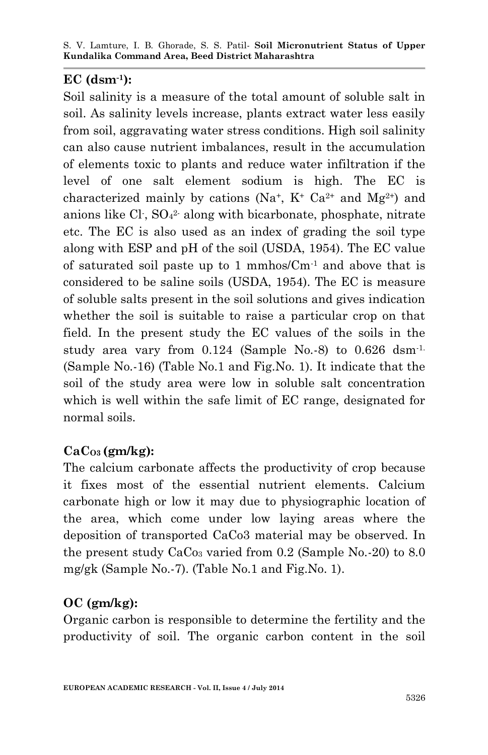### **EC (dsm-1):**

Soil salinity is a measure of the total amount of soluble salt in soil. As salinity levels increase, plants extract water less easily from soil, aggravating water stress conditions. High soil salinity can also cause nutrient imbalances, result in the accumulation of elements toxic to plants and reduce water infiltration if the level of one salt element sodium is high. The EC is characterized mainly by cations (Na<sup>+</sup>, K<sup>+</sup> Ca<sup>2+</sup> and Mg<sup>2+</sup>) and anions like  $Cl<sub>1</sub>$ ,  $SO<sub>4</sub><sup>2</sup>$  along with bicarbonate, phosphate, nitrate etc. The EC is also used as an index of grading the soil type along with ESP and pH of the soil (USDA, 1954). The EC value of saturated soil paste up to 1 mmhos/ $\text{Cm}$ <sup>1</sup> and above that is considered to be saline soils (USDA, 1954). The EC is measure of soluble salts present in the soil solutions and gives indication whether the soil is suitable to raise a particular crop on that field. In the present study the EC values of the soils in the study area vary from 0.124 (Sample No.-8) to 0.626 dsm-1. (Sample No.-16) (Table No.1 and Fig.No. 1). It indicate that the soil of the study area were low in soluble salt concentration which is well within the safe limit of EC range, designated for normal soils.

# **CaCO3 (gm/kg):**

The calcium carbonate affects the productivity of crop because it fixes most of the essential nutrient elements. Calcium carbonate high or low it may due to physiographic location of the area, which come under low laying areas where the deposition of transported CaCo3 material may be observed. In the present study  $CaCo<sub>3</sub>$  varied from 0.2 (Sample No.-20) to 8.0 mg/gk (Sample No.-7). (Table No.1 and Fig.No. 1).

# **OC (gm/kg):**

Organic carbon is responsible to determine the fertility and the productivity of soil. The organic carbon content in the soil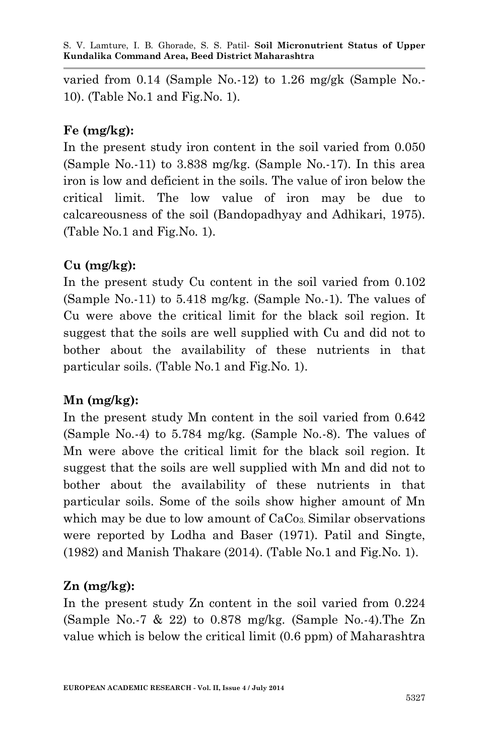varied from 0.14 (Sample No.-12) to 1.26 mg/gk (Sample No.- 10). (Table No.1 and Fig.No. 1).

### **Fe (mg/kg):**

In the present study iron content in the soil varied from 0.050 (Sample No.-11) to 3.838 mg/kg. (Sample No.-17). In this area iron is low and deficient in the soils. The value of iron below the critical limit. The low value of iron may be due to calcareousness of the soil (Bandopadhyay and Adhikari, 1975). (Table No.1 and Fig.No. 1).

# **Cu (mg/kg):**

In the present study Cu content in the soil varied from 0.102 (Sample No.-11) to 5.418 mg/kg. (Sample No.-1). The values of Cu were above the critical limit for the black soil region. It suggest that the soils are well supplied with Cu and did not to bother about the availability of these nutrients in that particular soils. (Table No.1 and Fig.No. 1).

# **Mn (mg/kg):**

In the present study Mn content in the soil varied from 0.642 (Sample No.-4) to 5.784 mg/kg. (Sample No.-8). The values of Mn were above the critical limit for the black soil region. It suggest that the soils are well supplied with Mn and did not to bother about the availability of these nutrients in that particular soils. Some of the soils show higher amount of Mn which may be due to low amount of  $CaCo<sub>3</sub>$ . Similar observations were reported by Lodha and Baser (1971). Patil and Singte, (1982) and Manish Thakare (2014). (Table No.1 and Fig.No. 1).

# **Zn (mg/kg):**

In the present study Zn content in the soil varied from 0.224 (Sample No.-7 & 22) to 0.878 mg/kg. (Sample No.-4).The Zn value which is below the critical limit (0.6 ppm) of Maharashtra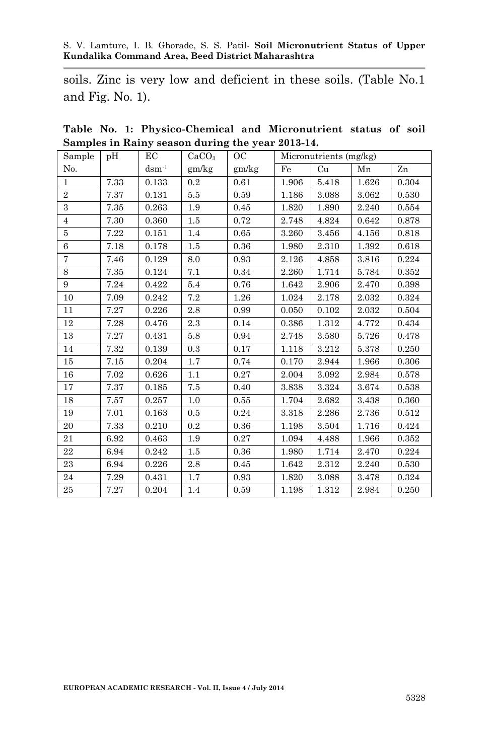soils. Zinc is very low and deficient in these soils. (Table No.1 and Fig. No. 1).

| Sample         | pH   | EC          | CaCO <sub>3</sub> | ${\rm OC}$ | Micronutrients (mg/kg) |       |       |       |
|----------------|------|-------------|-------------------|------------|------------------------|-------|-------|-------|
| No.            |      | $d$ sm $-1$ | gm/kg             | gm/kg      | Fe                     | Cu    | Mn    | Zn    |
| 1              | 7.33 | 0.133       | 0.2               | 0.61       | 1.906                  | 5.418 | 1.626 | 0.304 |
| $\overline{2}$ | 7.37 | 0.131       | 5.5               | 0.59       | 1.186                  | 3.088 | 3.062 | 0.530 |
| 3              | 7.35 | 0.263       | 1.9               | 0.45       | $1.820\,$              | 1.890 | 2.240 | 0.554 |
| $\overline{4}$ | 7.30 | 0.360       | 1.5               | 0.72       | 2.748                  | 4.824 | 0.642 | 0.878 |
| 5              | 7.22 | 0.151       | 1.4               | 0.65       | 3.260                  | 3.456 | 4.156 | 0.818 |
| 6              | 7.18 | 0.178       | 1.5               | 0.36       | 1.980                  | 2.310 | 1.392 | 0.618 |
| $\overline{7}$ | 7.46 | 0.129       | 8.0               | 0.93       | 2.126                  | 4.858 | 3.816 | 0.224 |
| 8              | 7.35 | 0.124       | 7.1               | 0.34       | 2.260                  | 1.714 | 5.784 | 0.352 |
| 9              | 7.24 | 0.422       | 5.4               | 0.76       | 1.642                  | 2.906 | 2.470 | 0.398 |
| 10             | 7.09 | 0.242       | 7.2               | 1.26       | 1.024                  | 2.178 | 2.032 | 0.324 |
| 11             | 7.27 | 0.226       | 2.8               | 0.99       | 0.050                  | 0.102 | 2.032 | 0.504 |
| 12             | 7.28 | 0.476       | 2.3               | 0.14       | 0.386                  | 1.312 | 4.772 | 0.434 |
| 13             | 7.27 | 0.431       | 5.8               | 0.94       | 2.748                  | 3.580 | 5.726 | 0.478 |
| 14             | 7.32 | 0.139       | 0.3               | 0.17       | 1.118                  | 3.212 | 5.378 | 0.250 |
| 15             | 7.15 | 0.204       | 1.7               | 0.74       | 0.170                  | 2.944 | 1.966 | 0.306 |
| 16             | 7.02 | 0.626       | 1.1               | 0.27       | 2.004                  | 3.092 | 2.984 | 0.578 |
| 17             | 7.37 | 0.185       | 7.5               | 0.40       | 3.838                  | 3.324 | 3.674 | 0.538 |
| 18             | 7.57 | 0.257       | 1.0               | 0.55       | 1.704                  | 2.682 | 3.438 | 0.360 |
| 19             | 7.01 | 0.163       | 0.5               | 0.24       | 3.318                  | 2.286 | 2.736 | 0.512 |
| 20             | 7.33 | 0.210       | 0.2               | 0.36       | 1.198                  | 3.504 | 1.716 | 0.424 |
| 21             | 6.92 | 0.463       | 1.9               | 0.27       | 1.094                  | 4.488 | 1.966 | 0.352 |
| 22             | 6.94 | 0.242       | 1.5               | 0.36       | 1.980                  | 1.714 | 2.470 | 0.224 |
| 23             | 6.94 | 0.226       | 2.8               | 0.45       | 1.642                  | 2.312 | 2.240 | 0.530 |
| 24             | 7.29 | 0.431       | 1.7               | 0.93       | 1.820                  | 3.088 | 3.478 | 0.324 |
| 25             | 7.27 | 0.204       | 1.4               | 0.59       | 1.198                  | 1.312 | 2.984 | 0.250 |

**Table No. 1: Physico-Chemical and Micronutrient status of soil Samples in Rainy season during the year 2013-14.**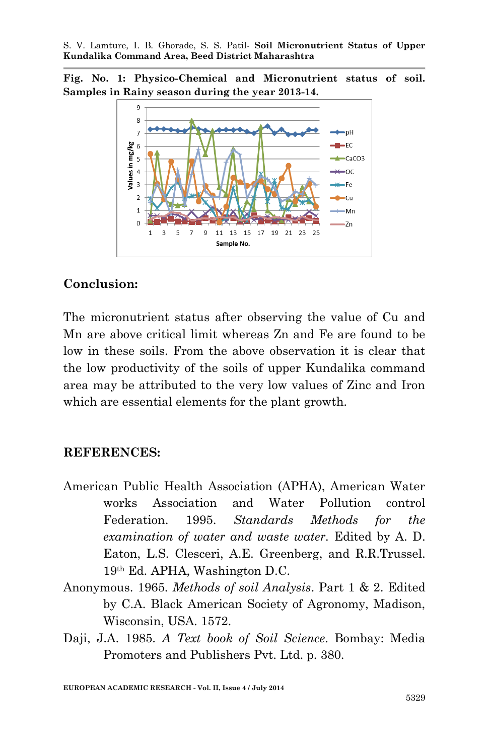**Fig. No. 1: Physico-Chemical and Micronutrient status of soil. Samples in Rainy season during the year 2013-14.**



# **Conclusion:**

The micronutrient status after observing the value of Cu and Mn are above critical limit whereas Zn and Fe are found to be low in these soils. From the above observation it is clear that the low productivity of the soils of upper Kundalika command area may be attributed to the very low values of Zinc and Iron which are essential elements for the plant growth.

### **REFERENCES:**

- American Public Health Association (APHA), American Water works Association and Water Pollution control Federation. 1995. *Standards Methods for the examination of water and waste water.* Edited by A. D. Eaton, L.S. Clesceri, A.E. Greenberg, and R.R.Trussel. 19th Ed. APHA, Washington D.C.
- Anonymous. 1965. *Methods of soil Analysis*. Part 1 & 2. Edited by C.A. Black American Society of Agronomy, Madison, Wisconsin, USA. 1572.
- Daji, J.A. 1985. *A Text book of Soil Science*. Bombay: Media Promoters and Publishers Pvt. Ltd. p. 380.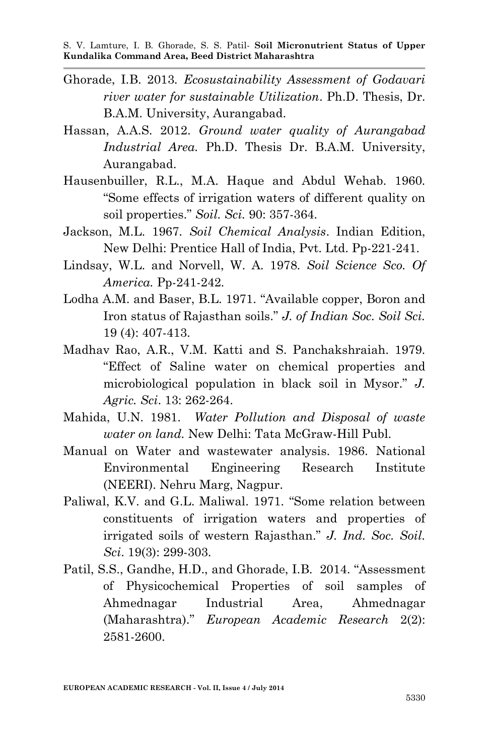- Ghorade, I.B. 2013. *Ecosustainability Assessment of Godavari river water for sustainable Utilization*. Ph.D. Thesis, Dr. B.A.M. University, Aurangabad.
- Hassan, A.A.S. 2012. *Ground water quality of Aurangabad Industrial Area.* Ph.D. Thesis Dr. B.A.M. University, Aurangabad.
- Hausenbuiller, R.L., M.A. Haque and Abdul Wehab. 1960. "Some effects of irrigation waters of different quality on soil properties." *Soil. Sci.* 90: 357-364.
- Jackson, M.L. 1967. *Soil Chemical Analysis*. Indian Edition, New Delhi: Prentice Hall of India, Pvt. Ltd. Pp-221-241.
- Lindsay, W.L. and Norvell, W. A. 1978. *Soil Science Sco. Of America.* Pp-241-242.
- Lodha A.M. and Baser, B.L. 1971. "Available copper, Boron and Iron status of Rajasthan soils." *J. of Indian Soc. Soil Sci.* 19 (4): 407-413.
- Madhav Rao, A.R., V.M. Katti and S. Panchakshraiah. 1979. "Effect of Saline water on chemical properties and microbiological population in black soil in Mysor." *J. Agric. Sci*. 13: 262-264.
- Mahida, U.N. 1981. *Water Pollution and Disposal of waste water on land.* New Delhi: Tata McGraw-Hill Publ.
- Manual on Water and wastewater analysis. 1986. National Environmental Engineering Research Institute (NEERI). Nehru Marg, Nagpur.
- Paliwal, K.V. and G.L. Maliwal. 1971. "Some relation between constituents of irrigation waters and properties of irrigated soils of western Rajasthan." *J. Ind. Soc. Soil. Sci*. 19(3): 299-303.
- Patil, S.S., Gandhe, H.D., and Ghorade, I.B. 2014. "Assessment of Physicochemical Properties of soil samples of Ahmednagar Industrial Area, Ahmednagar (Maharashtra)." *European Academic Research* 2(2): 2581-2600.